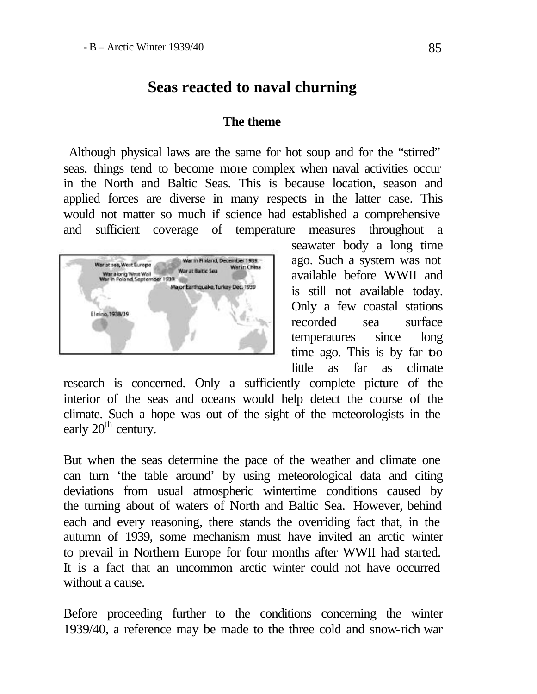# **Seas reacted to naval churning**

#### **The theme**

 Although physical laws are the same for hot soup and for the "stirred" seas, things tend to become more complex when naval activities occur in the North and Baltic Seas. This is because location, season and applied forces are diverse in many respects in the latter case. This would not matter so much if science had established a comprehensive and sufficient coverage of temperature measures throughout a



seawater body a long time ago. Such a system was not available before WWII and is still not available today. Only a few coastal stations recorded sea surface temperatures since long time ago. This is by far too little as far as climate

research is concerned. Only a sufficiently complete picture of the interior of the seas and oceans would help detect the course of the climate. Such a hope was out of the sight of the meteorologists in the early  $20<sup>th</sup>$  century.

But when the seas determine the pace of the weather and climate one can turn 'the table around' by using meteorological data and citing deviations from usual atmospheric wintertime conditions caused by the turning about of waters of North and Baltic Sea. However, behind each and every reasoning, there stands the overriding fact that, in the autumn of 1939, some mechanism must have invited an arctic winter to prevail in Northern Europe for four months after WWII had started. It is a fact that an uncommon arctic winter could not have occurred without a cause.

Before proceeding further to the conditions concerning the winter 1939/40, a reference may be made to the three cold and snow-rich war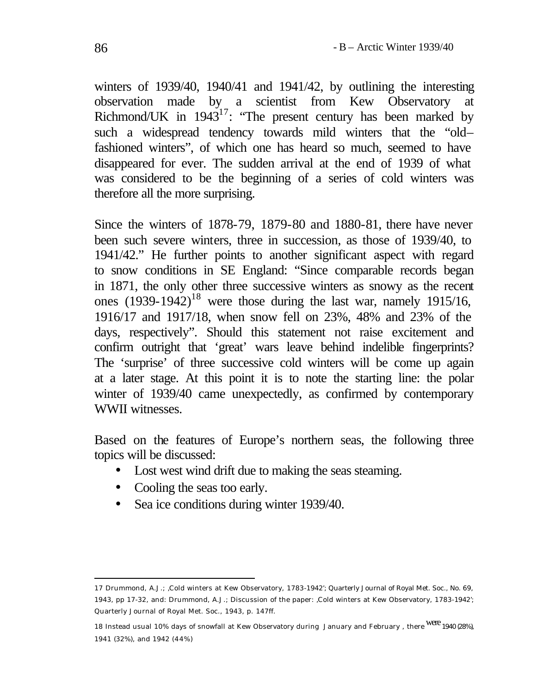winters of 1939/40, 1940/41 and 1941/42, by outlining the interesting observation made by a scientist from Kew Observatory at Richmond/UK in  $1943^{17}$ : "The present century has been marked by such a widespread tendency towards mild winters that the "old– fashioned winters", of which one has heard so much, seemed to have disappeared for ever. The sudden arrival at the end of 1939 of what was considered to be the beginning of a series of cold winters was therefore all the more surprising.

Since the winters of 1878-79, 1879-80 and 1880-81, there have never been such severe winters, three in succession, as those of 1939/40, to 1941/42." He further points to another significant aspect with regard to snow conditions in SE England: "Since comparable records began in 1871, the only other three successive winters as snowy as the recent ones  $(1939-1942)^{18}$  were those during the last war, namely 1915/16, 1916/17 and 1917/18, when snow fell on 23%, 48% and 23% of the days, respectively". Should this statement not raise excitement and confirm outright that 'great' wars leave behind indelible fingerprints? The 'surprise' of three successive cold winters will be come up again at a later stage. At this point it is to note the starting line: the polar winter of 1939/40 came unexpectedly, as confirmed by contemporary WWII witnesses.

Based on the features of Europe's northern seas, the following three topics will be discussed:

- Lost west wind drift due to making the seas steaming.
- Cooling the seas too early.
- Sea ice conditions during winter 1939/40.

18 Instead usual 10% days of snowfall at Kew Observatory during January and February , there WCL 1940 (28%), 1941 (32%), and 1942 (44%)

<sup>17</sup> Drummond, A.J.; 'Cold winters at Kew Observatory, 1783-1942'; Quarterly Journal of Royal Met. Soc., No. 69, 1943, pp 17-32, and: Drummond, A.J.; Discussion of the paper: 'Cold winters at Kew Observatory, 1783-1942'; Quarterly Journal of Royal Met. Soc., 1943, p. 147ff.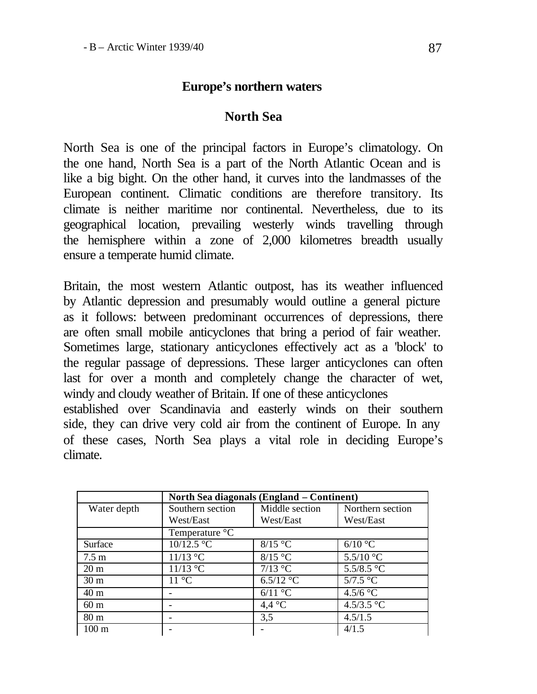## **Europe's northern waters**

#### **North Sea**

North Sea is one of the principal factors in Europe's climatology. On the one hand, North Sea is a part of the North Atlantic Ocean and is like a big bight. On the other hand, it curves into the landmasses of the European continent. Climatic conditions are therefore transitory. Its climate is neither maritime nor continental. Nevertheless, due to its geographical location, prevailing westerly winds travelling through the hemisphere within a zone of 2,000 kilometres breadth usually ensure a temperate humid climate.

Britain, the most western Atlantic outpost, has its weather influenced by Atlantic depression and presumably would outline a general picture as it follows: between predominant occurrences of depressions, there are often small mobile anticyclones that bring a period of fair weather. Sometimes large, stationary anticyclones effectively act as a 'block' to the regular passage of depressions. These larger anticyclones can often last for over a month and completely change the character of wet, windy and cloudy weather of Britain. If one of these anticyclones established over Scandinavia and easterly winds on their southern side, they can drive very cold air from the continent of Europe. In any of these cases, North Sea plays a vital role in deciding Europe's climate.

|                  | North Sea diagonals (England – Continent) |                  |                     |  |  |
|------------------|-------------------------------------------|------------------|---------------------|--|--|
| Water depth      | Southern section                          | Middle section   | Northern section    |  |  |
|                  | West/East                                 | West/East        | West/East           |  |  |
|                  | Temperature °C                            |                  |                     |  |  |
| Surface          | $10/12.5$ °C                              | $8/15$ °C        | $6/10$ °C           |  |  |
| $7.5 \text{ m}$  | $11/13$ °C                                | $8/15$ °C        | 5.5/10 $^{\circ}$ C |  |  |
| 20 <sub>m</sub>  | $11/13$ °C                                | $7/13$ °C        | 5.5/8.5 °C          |  |  |
| 30 <sub>m</sub>  | $11^{\circ}$ C                            | $6.5/12$ °C      | $5/7.5$ °C          |  |  |
| 40 <sub>m</sub>  | -                                         | $6/11$ °C        | $4.5/6$ °C          |  |  |
| 60 <sub>m</sub>  | $\overline{\phantom{0}}$                  | 4.4 $^{\circ}$ C | 4.5/3.5 °C          |  |  |
| 80 <sub>m</sub>  |                                           | 3.5              | 4.5/1.5             |  |  |
| 100 <sub>m</sub> |                                           |                  | 4/1.5               |  |  |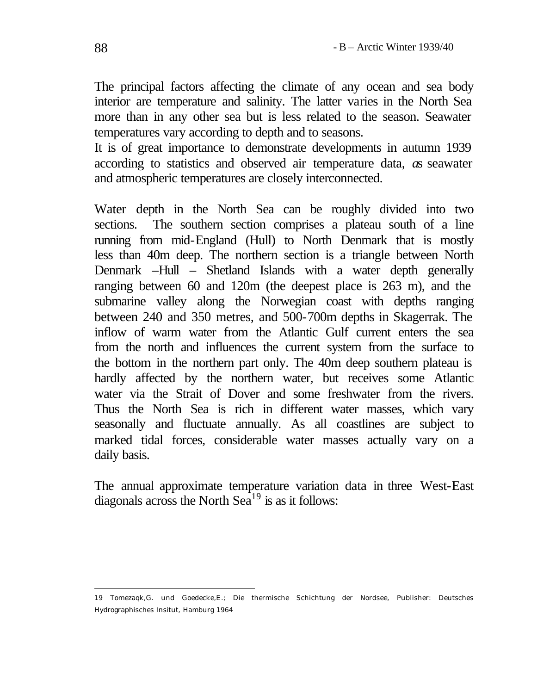The principal factors affecting the climate of any ocean and sea body interior are temperature and salinity. The latter varies in the North Sea more than in any other sea but is less related to the season. Seawater temperatures vary according to depth and to seasons.

It is of great importance to demonstrate developments in autumn 1939 according to statistics and observed air temperature data*, a*s seawater and atmospheric temperatures are closely interconnected.

Water depth in the North Sea can be roughly divided into two sections. The southern section comprises a plateau south of a line running from mid-England (Hull) to North Denmark that is mostly less than 40m deep. The northern section is a triangle between North Denmark –Hull – Shetland Islands with a water depth generally ranging between 60 and 120m (the deepest place is 263 m), and the submarine valley along the Norwegian coast with depths ranging between 240 and 350 metres, and 500-700m depths in Skagerrak. The inflow of warm water from the Atlantic Gulf current enters the sea from the north and influences the current system from the surface to the bottom in the northern part only. The 40m deep southern plateau is hardly affected by the northern water, but receives some Atlantic water via the Strait of Dover and some freshwater from the rivers. Thus the North Sea is rich in different water masses, which vary seasonally and fluctuate annually. As all coastlines are subject to marked tidal forces, considerable water masses actually vary on a daily basis.

The annual approximate temperature variation data in three West-East diagonals across the North  $\text{Sea}^{19}$  is as it follows:

<sup>19</sup> Tomezaqk,G. und Goedecke,E.; Die thermische Schichtung der Nordsee, Publisher: Deutsches Hydrographisches Insitut, Hamburg 1964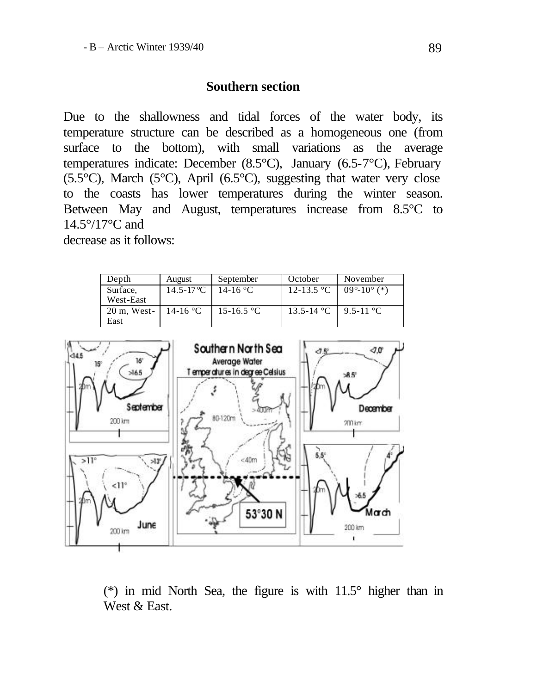#### **Southern section**

Due to the shallowness and tidal forces of the water body, its temperature structure can be described as a homogeneous one (from surface to the bottom), with small variations as the average temperatures indicate: December (8.5°C), January (6.5-7°C), February (5.5 $^{\circ}$ C), March (5 $^{\circ}$ C), April (6.5 $^{\circ}$ C), suggesting that water very close to the coasts has lower temperatures during the winter season. Between May and August, temperatures increase from 8.5°C to 14.5°/17°C and

decrease as it follows:

| Depth                  | August                | September  | October    | November                      |
|------------------------|-----------------------|------------|------------|-------------------------------|
| Surface,               | 14.5-17 °C   14-16 °C |            | 12-13.5 °C | $09^{\circ} - 10^{\circ}$ (*) |
| West-East              |                       |            |            |                               |
| $20 \text{ m}$ , West- | 14-16 °C              | 15-16.5 °C | 13.5-14 °C | $9.5 - 11$ °C                 |
| East                   |                       |            |            |                               |



(\*) in mid North Sea, the figure is with 11.5° higher than in West & East.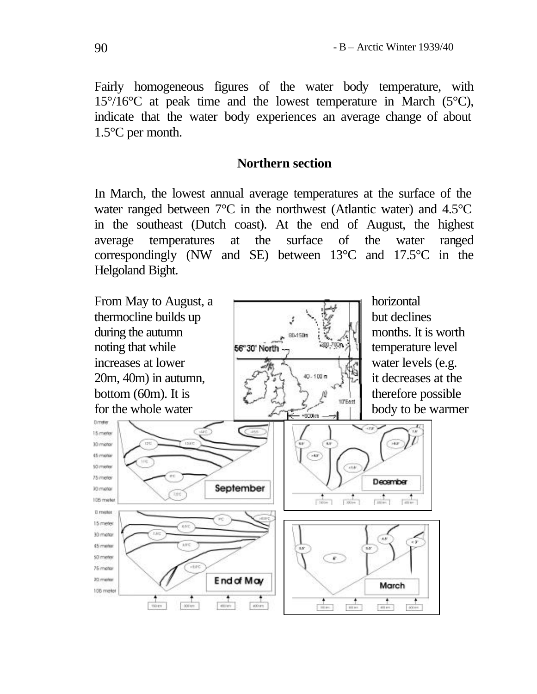Fairly homogeneous figures of the water body temperature, with  $15^{\circ}/16^{\circ}$ C at peak time and the lowest temperature in March (5 $^{\circ}$ C), indicate that the water body experiences an average change of about 1.5°C per month.

#### **Northern section**

In March, the lowest annual average temperatures at the surface of the water ranged between 7°C in the northwest (Atlantic water) and 4.5°C in the southeast (Dutch coast). At the end of August, the highest average temperatures at the surface of the water ranged correspondingly (NW and SE) between 13°C and 17.5°C in the Helgoland Bight.

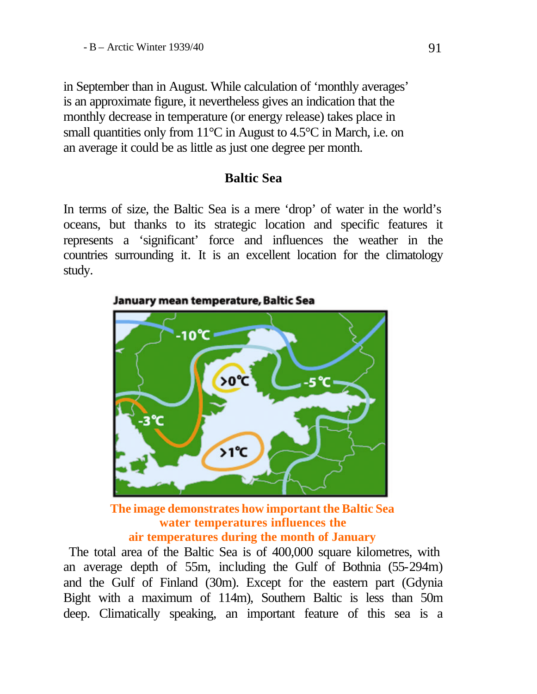in September than in August. While calculation of 'monthly averages' is an approximate figure, it nevertheless gives an indication that the monthly decrease in temperature (or energy release) takes place in small quantities only from 11<sup>o</sup>C in August to 4.5<sup>o</sup>C in March, i.e. on an average it could be as little as just one degree per month.

## **Baltic Sea**

In terms of size, the Baltic Sea is a mere 'drop' of water in the world's oceans, but thanks to its strategic location and specific features it represents a 'significant' force and influences the weather in the countries surrounding it*.* It is an excellent location for the climatology study.



January mean temperature, Baltic Sea

**The image demonstrates how important the Baltic Sea water temperatures influences the air temperatures during the month of January**

 The total area of the Baltic Sea is of 400,000 square kilometres, with an average depth of 55m, including the Gulf of Bothnia (55-294m) and the Gulf of Finland (30m). Except for the eastern part (Gdynia Bight with a maximum of 114m), Southern Baltic is less than 50m deep. Climatically speaking, an important feature of this sea is a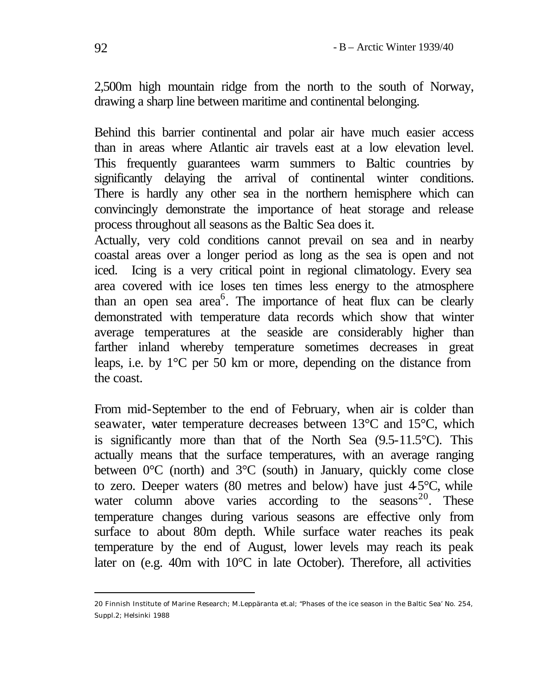2,500m high mountain ridge from the north to the south of Norway, drawing a sharp line between maritime and continental belonging.

Behind this barrier continental and polar air have much easier access than in areas where Atlantic air travels east at a low elevation level. This frequently guarantees warm summers to Baltic countries by significantly delaying the arrival of continental winter conditions. There is hardly any other sea in the northern hemisphere which can convincingly demonstrate the importance of heat storage and release process throughout all seasons as the Baltic Sea does it.

Actually, very cold conditions cannot prevail on sea and in nearby coastal areas over a longer period as long as the sea is open and not iced. Icing is a very critical point in regional climatology. Every sea area covered with ice loses ten times less energy to the atmosphere than an open sea  $area<sup>6</sup>$ . The importance of heat flux can be clearly demonstrated with temperature data records which show that winter average temperatures at the seaside are considerably higher than farther inland whereby temperature sometimes decreases in great leaps, i.e. by 1°C per 50 km or more, depending on the distance from the coast.

From mid-September to the end of February, when air is colder than seawater, water temperature decreases between 13°C and 15°C, which is significantly more than that of the North Sea (9.5-11.5°C). This actually means that the surface temperatures, with an average ranging between  $0^{\circ}$ C (north) and  $3^{\circ}$ C (south) in January, quickly come close to zero. Deeper waters  $(80 \text{ metres and below})$  have just  $45^{\circ}$ C, while water column above varies according to the seasons<sup>20</sup>. These temperature changes during various seasons are effective only from surface to about 80m depth. While surface water reaches its peak temperature by the end of August, lower levels may reach its peak later on (e.g. 40m with 10°C in late October). Therefore, all activities

<sup>20</sup> Finnish Institute of Marine Research; M.Leppäranta et.al; "Phases of the ice season in the Baltic Sea' No. 254, Suppl.2; Helsinki 1988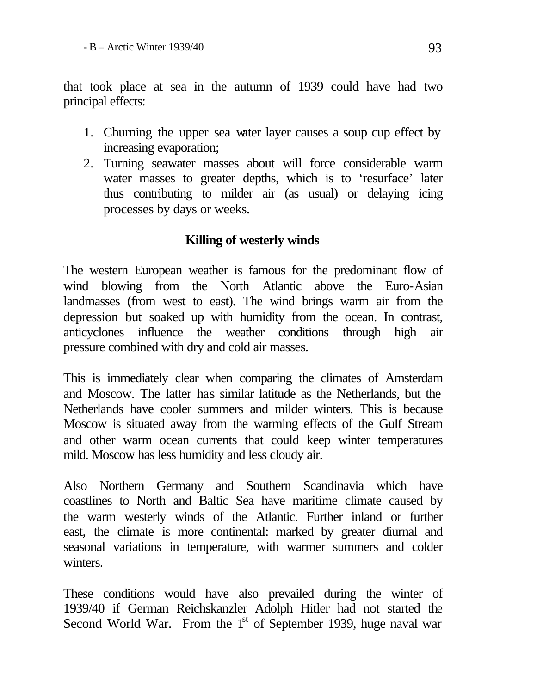that took place at sea in the autumn of 1939 could have had two principal effects:

- 1. Churning the upper sea water layer causes a soup cup effect by increasing evaporation;
- 2. Turning seawater masses about will force considerable warm water masses to greater depths, which is to 'resurface' later thus contributing to milder air (as usual) or delaying icing processes by days or weeks.

# **Killing of westerly winds**

The western European weather is famous for the predominant flow of wind blowing from the North Atlantic above the Euro-Asian landmasses (from west to east). The wind brings warm air from the depression but soaked up with humidity from the ocean. In contrast, anticyclones influence the weather conditions through high air pressure combined with dry and cold air masses.

This is immediately clear when comparing the climates of Amsterdam and Moscow. The latter has similar latitude as the Netherlands, but the Netherlands have cooler summers and milder winters. This is because Moscow is situated away from the warming effects of the Gulf Stream and other warm ocean currents that could keep winter temperatures mild. Moscow has less humidity and less cloudy air.

Also Northern Germany and Southern Scandinavia which have coastlines to North and Baltic Sea have maritime climate caused by the warm westerly winds of the Atlantic. Further inland or further east, the climate is more continental: marked by greater diurnal and seasonal variations in temperature, with warmer summers and colder winters.

These conditions would have also prevailed during the winter of 1939/40 if German Reichskanzler Adolph Hitler had not started the Second World War. From the 1<sup>st</sup> of September 1939, huge naval war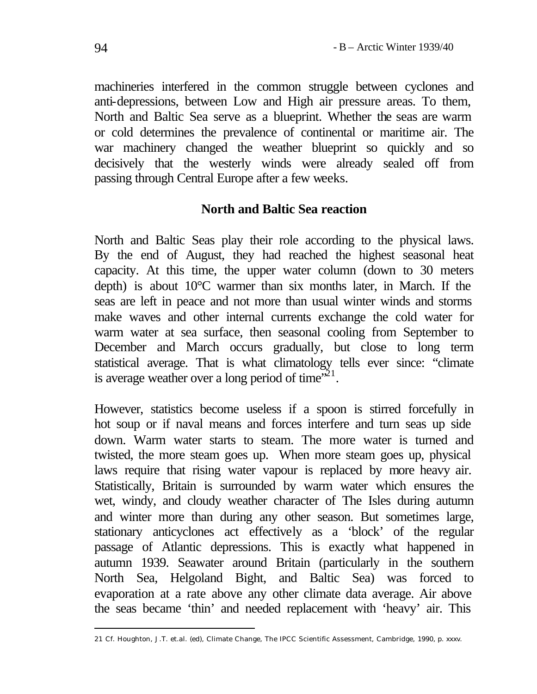machineries interfered in the common struggle between cyclones and anti-depressions, between Low and High air pressure areas. To them, North and Baltic Sea serve as a blueprint. Whether the seas are warm or cold determines the prevalence of continental or maritime air. The war machinery changed the weather blueprint so quickly and so decisively that the westerly winds were already sealed off from passing through Central Europe after a few weeks.

## **North and Baltic Sea reaction**

North and Baltic Seas play their role according to the physical laws. By the end of August, they had reached the highest seasonal heat capacity. At this time, the upper water column (down to 30 meters depth) is about 10°C warmer than six months later, in March. If the seas are left in peace and not more than usual winter winds and storms make waves and other internal currents exchange the cold water for warm water at sea surface, then seasonal cooling from September to December and March occurs gradually, but close to long term statistical average. That is what climatology tells ever since: "climate is average weather over a long period of time $\mathbb{R}^{21}$ .

However, statistics become useless if a spoon is stirred forcefully in hot soup or if naval means and forces interfere and turn seas up side down. Warm water starts to steam. The more water is turned and twisted, the more steam goes up. When more steam goes up, physical laws require that rising water vapour is replaced by more heavy air. Statistically, Britain is surrounded by warm water which ensures the wet, windy, and cloudy weather character of The Isles during autumn and winter more than during any other season. But sometimes large, stationary anticyclones act effectively as a 'block' of the regular passage of Atlantic depressions. This is exactly what happened in autumn 1939. Seawater around Britain (particularly in the southern North Sea, Helgoland Bight, and Baltic Sea) was forced to evaporation at a rate above any other climate data average. Air above the seas became 'thin' and needed replacement with 'heavy' air. This

<sup>21</sup> Cf. Houghton, J.T. et.al. (ed), Climate Change, The IPCC Scientific Assessment, Cambridge, 1990, p. xxxv.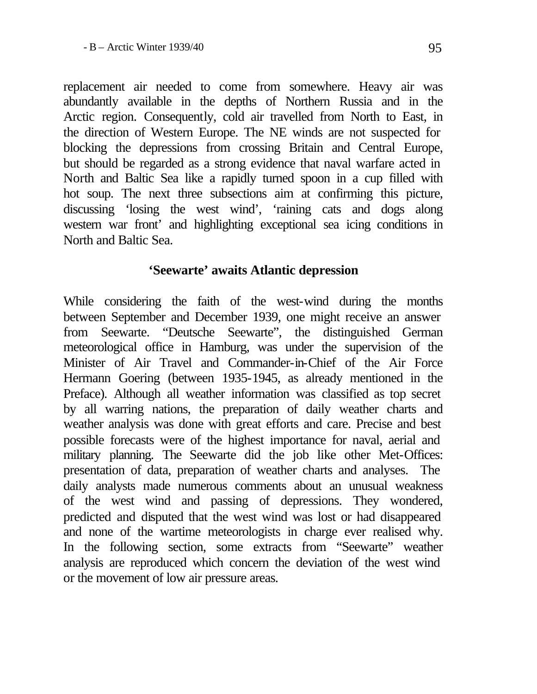replacement air needed to come from somewhere. Heavy air was abundantly available in the depths of Northern Russia and in the Arctic region. Consequently, cold air travelled from North to East, in the direction of Western Europe. The NE winds are not suspected for blocking the depressions from crossing Britain and Central Europe, but should be regarded as a strong evidence that naval warfare acted in North and Baltic Sea like a rapidly turned spoon in a cup filled with hot soup. The next three subsections aim at confirming this picture, discussing 'losing the west wind', 'raining cats and dogs along western war front' and highlighting exceptional sea icing conditions in North and Baltic Sea.

## **'Seewarte' awaits Atlantic depression**

While considering the faith of the west-wind during the months between September and December 1939, one might receive an answer from Seewarte. "Deutsche Seewarte", the distinguished German meteorological office in Hamburg, was under the supervision of the Minister of Air Travel and Commander-in-Chief of the Air Force Hermann Goering (between 1935-1945, as already mentioned in the Preface). Although all weather information was classified as top secret by all warring nations, the preparation of daily weather charts and weather analysis was done with great efforts and care. Precise and best possible forecasts were of the highest importance for naval, aerial and military planning. The Seewarte did the job like other Met-Offices: presentation of data, preparation of weather charts and analyses. The daily analysts made numerous comments about an unusual weakness of the west wind and passing of depressions. They wondered, predicted and disputed that the west wind was lost or had disappeared and none of the wartime meteorologists in charge ever realised why. In the following section, some extracts from "Seewarte" weather analysis are reproduced which concern the deviation of the west wind or the movement of low air pressure areas.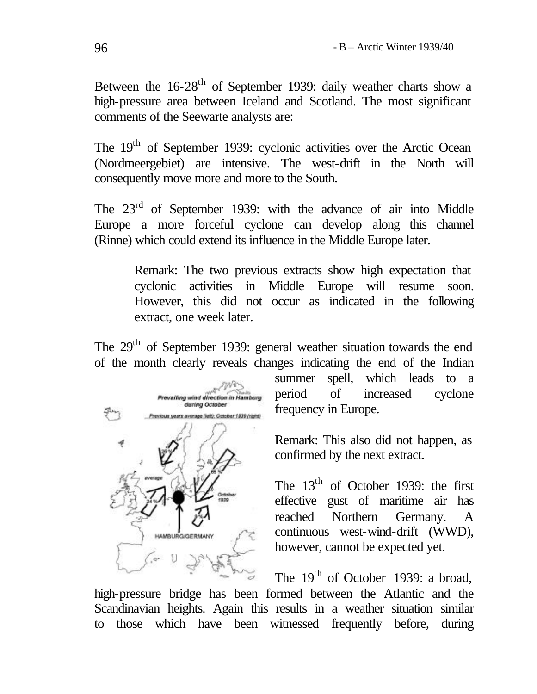Between the 16-28<sup>th</sup> of September 1939: daily weather charts show a high-pressure area between Iceland and Scotland. The most significant comments of the Seewarte analysts are:

The 19<sup>th</sup> of September 1939: cyclonic activities over the Arctic Ocean (Nordmeergebiet) are intensive. The west-drift in the North will consequently move more and more to the South.

The 23<sup>rd</sup> of September 1939: with the advance of air into Middle Europe a more forceful cyclone can develop along this channel (Rinne) which could extend its influence in the Middle Europe later.

> Remark: The two previous extracts show high expectation that cyclonic activities in Middle Europe will resume soon. However, this did not occur as indicated in the following extract, one week later.

The 29<sup>th</sup> of September 1939: general weather situation towards the end of the month clearly reveals changes indicating the end of the Indian



summer spell, which leads to a period of increased cyclone frequency in Europe.

Remark: This also did not happen, as confirmed by the next extract.

The  $13<sup>th</sup>$  of October 1939: the first effective gust of maritime air has reached Northern Germany. A continuous west-wind-drift (WWD), however, cannot be expected yet.

The  $19<sup>th</sup>$  of October 1939: a broad, high-pressure bridge has been formed between the Atlantic and the Scandinavian heights. Again this results in a weather situation similar to those which have been witnessed frequently before, during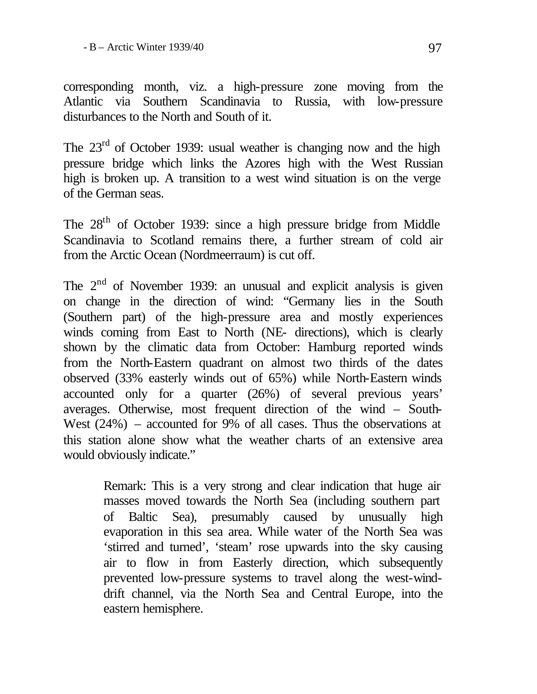corresponding month, viz. a high-pressure zone moving from the Atlantic via Southern Scandinavia to Russia, with low-pressure disturbances to the North and South of it.

The  $23<sup>rd</sup>$  of October 1939: usual weather is changing now and the high pressure bridge which links the Azores high with the West Russian high is broken up. A transition to a west wind situation is on the verge of the German seas.

The 28th of October 1939: since a high pressure bridge from Middle Scandinavia to Scotland remains there, a further stream of cold air from the Arctic Ocean (Nordmeerraum) is cut off.

The  $2<sup>nd</sup>$  of November 1939: an unusual and explicit analysis is given on change in the direction of wind: "Germany lies in the South (Southern part) of the high-pressure area and mostly experiences winds coming from East to North (NE- directions), which is clearly shown by the climatic data from October: Hamburg reported winds from the North-Eastern quadrant on almost two thirds of the dates observed (33% easterly winds out of 65%) while North-Eastern winds accounted only for a quarter (26%) of several previous years' averages. Otherwise, most frequent direction of the wind – South-West  $(24%)$  – accounted for 9% of all cases. Thus the observations at this station alone show what the weather charts of an extensive area would obviously indicate."

> Remark: This is a very strong and clear indication that huge air masses moved towards the North Sea (including southern part of Baltic Sea), presumably caused by unusually high evaporation in this sea area. While water of the North Sea was 'stirred and turned', 'steam' rose upwards into the sky causing air to flow in from Easterly direction, which subsequently prevented low-pressure systems to travel along the west-winddrift channel, via the North Sea and Central Europe, into the eastern hemisphere.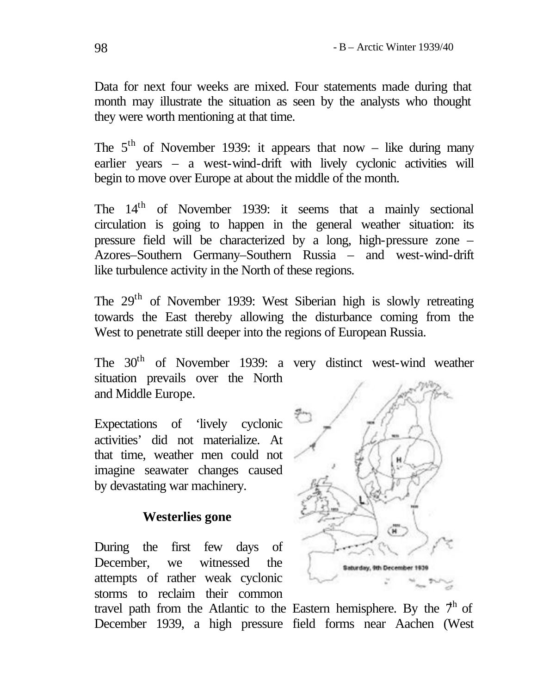Data for next four weeks are mixed. Four statements made during that month may illustrate the situation as seen by the analysts who thought they were worth mentioning at that time.

The  $5<sup>th</sup>$  of November 1939: it appears that now – like during many earlier years – a west-wind-drift with lively cyclonic activities will begin to move over Europe at about the middle of the month.

The 14<sup>th</sup> of November 1939: it seems that a mainly sectional circulation is going to happen in the general weather situation: its pressure field will be characterized by a long, high-pressure zone – Azores–Southern Germany–Southern Russia – and west-wind-drift like turbulence activity in the North of these regions.

The 29th of November 1939: West Siberian high is slowly retreating towards the East thereby allowing the disturbance coming from the West to penetrate still deeper into the regions of European Russia.

The  $30<sup>th</sup>$  of November 1939: a very distinct west-wind weather situation prevails over the North and Middle Europe.

Expectations of 'lively cyclonic activities' did not materialize. At that time, weather men could not imagine seawater changes caused by devastating war machinery.

## **Westerlies gone**

During the first few days of December, we witnessed the attempts of rather weak cyclonic storms to reclaim their common travel path from the Atlantic to the Eastern hemisphere. By the  $7<sup>h</sup>$  of



December 1939, a high pressure field forms near Aachen (West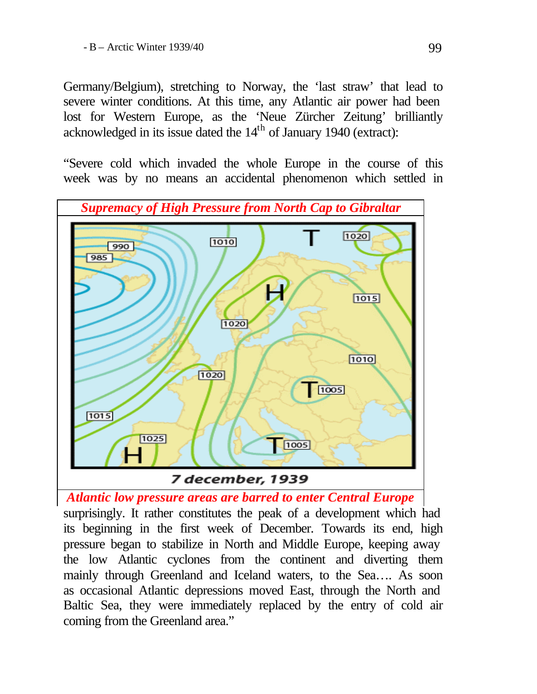Germany/Belgium), stretching to Norway, the 'last straw' that lead to severe winter conditions. At this time, any Atlantic air power had been lost for Western Europe, as the 'Neue Zürcher Zeitung' brilliantly acknowledged in its issue dated the  $14<sup>th</sup>$  of January 1940 (extract):

"Severe cold which invaded the whole Europe in the course of this week was by no means an accidental phenomenon which settled in



*Atlantic low pressure areas are barred to enter Central Europe* 

surprisingly. It rather constitutes the peak of a development which had its beginning in the first week of December. Towards its end, high pressure began to stabilize in North and Middle Europe, keeping away the low Atlantic cyclones from the continent and diverting them mainly through Greenland and Iceland waters, to the Sea…. As soon as occasional Atlantic depressions moved East, through the North and Baltic Sea, they were immediately replaced by the entry of cold air coming from the Greenland area."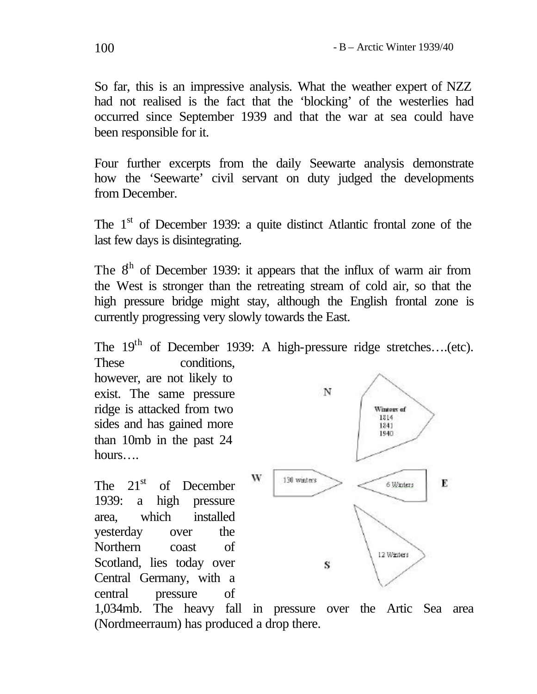So far, this is an impressive analysis. What the weather expert of NZZ had not realised is the fact that the 'blocking' of the westerlies had occurred since September 1939 and that the war at sea could have been responsible for it.

Four further excerpts from the daily Seewarte analysis demonstrate how the 'Seewarte' civil servant on duty judged the developments from December.

The 1<sup>st</sup> of December 1939: a quite distinct Atlantic frontal zone of the last few days is disintegrating.

The  $8<sup>th</sup>$  of December 1939: it appears that the influx of warm air from the West is stronger than the retreating stream of cold air, so that the high pressure bridge might stay, although the English frontal zone is currently progressing very slowly towards the East.

The 19<sup>th</sup> of December 1939: A high-pressure ridge stretches....(etc).

These conditions. however, are not likely to exist. The same pressure ridge is attacked from two sides and has gained more than 10mb in the past 24 hours….

The  $21<sup>st</sup>$  of December 1939: a high pressure area, which installed yesterday over the Northern coast of Scotland, lies today over Central Germany, with a central pressure of



1,034mb. The heavy fall in pressure over the Artic Sea area (Nordmeerraum) has produced a drop there.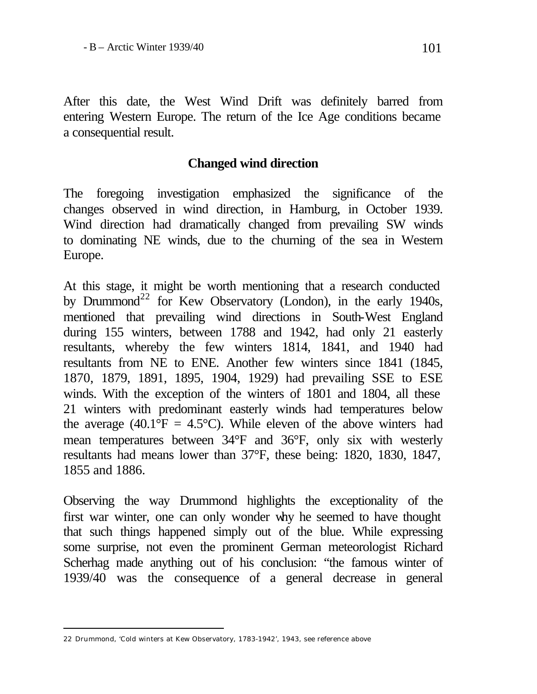After this date, the West Wind Drift was definitely barred from entering Western Europe. The return of the Ice Age conditions became a consequential result.

#### **Changed wind direction**

The foregoing investigation emphasized the significance of the changes observed in wind direction, in Hamburg, in October 1939. Wind direction had dramatically changed from prevailing SW winds to dominating NE winds, due to the churning of the sea in Western Europe.

At this stage, it might be worth mentioning that a research conducted by Drummond<sup>22</sup> for Kew Observatory (London), in the early 1940s, mentioned that prevailing wind directions in South-West England during 155 winters, between 1788 and 1942, had only 21 easterly resultants, whereby the few winters 1814, 1841, and 1940 had resultants from NE to ENE. Another few winters since 1841 (1845, 1870, 1879, 1891, 1895, 1904, 1929) had prevailing SSE to ESE winds. With the exception of the winters of 1801 and 1804, all these 21 winters with predominant easterly winds had temperatures below the average (40.1 $\textdegree$ F = 4.5 $\textdegree$ C). While eleven of the above winters had mean temperatures between 34°F and 36°F, only six with westerly resultants had means lower than 37°F, these being: 1820, 1830, 1847, 1855 and 1886.

Observing the way Drummond highlights the exceptionality of the first war winter, one can only wonder why he seemed to have thought that such things happened simply out of the blue. While expressing some surprise, not even the prominent German meteorologist Richard Scherhag made anything out of his conclusion: "the famous winter of 1939/40 was the consequence of a general decrease in general

<sup>22</sup> Drummond, 'Cold winters at Kew Observatory, 1783-1942', 1943, see reference above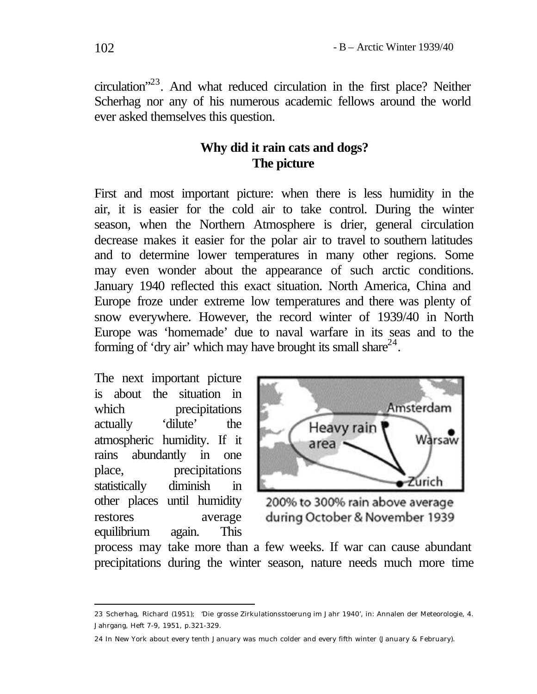circulation"<sup>23</sup>. And what reduced circulation in the first place? Neither Scherhag nor any of his numerous academic fellows around the world ever asked themselves this question.

# **Why did it rain cats and dogs? The picture**

First and most important picture: when there is less humidity in the air, it is easier for the cold air to take control. During the winter season, when the Northern Atmosphere is drier, general circulation decrease makes it easier for the polar air to travel to southern latitudes and to determine lower temperatures in many other regions. Some may even wonder about the appearance of such arctic conditions. January 1940 reflected this exact situation. North America, China and Europe froze under extreme low temperatures and there was plenty of snow everywhere. However, the record winter of 1939/40 in North Europe was 'homemade' due to naval warfare in its seas and to the forming of 'dry air' which may have brought its small share $^{24}$ .

The next important picture is about the situation in which precipitations actually 'dilute' the atmospheric humidity. If it rains abundantly in one place, precipitations statistically diminish in other places until humidity restores average equilibrium again. This

l



200% to 300% rain above average during October & November 1939

process may take more than a few weeks. If war can cause abundant precipitations during the winter season, nature needs much more time

<sup>23</sup> Scherhag, Richard (1951); 'Die grosse Zirkulationsstoerung im Jahr 1940', in: Annalen der Meteorologie, 4. Jahrgang, Heft 7-9, 1951, p.321-329.

<sup>24</sup> In New York about every tenth January was much colder and every fifth winter (January & February).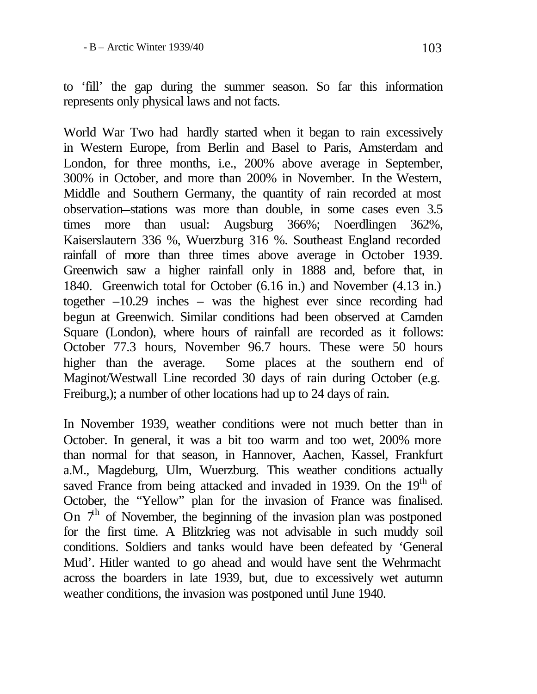to 'fill' the gap during the summer season. So far this information represents only physical laws and not facts.

World War Two had hardly started when it began to rain excessively in Western Europe, from Berlin and Basel to Paris, Amsterdam and London, for three months, i.e., 200% above average in September, 300% in October, and more than 200% in November. In the Western, Middle and Southern Germany, the quantity of rain recorded at most observation-stations was more than double, in some cases even 3.5 times more than usual: Augsburg 366%; Noerdlingen 362%, Kaiserslautern 336 %, Wuerzburg 316 %. Southeast England recorded rainfall of more than three times above average in October 1939. Greenwich saw a higher rainfall only in 1888 and, before that, in 1840. Greenwich total for October (6.16 in.) and November (4.13 in.) together –10.29 inches – was the highest ever since recording had begun at Greenwich. Similar conditions had been observed at Camden Square (London), where hours of rainfall are recorded as it follows: October 77.3 hours, November 96.7 hours. These were 50 hours higher than the average. Some places at the southern end of Maginot/Westwall Line recorded 30 days of rain during October (e.g. Freiburg,); a number of other locations had up to 24 days of rain.

In November 1939, weather conditions were not much better than in October. In general, it was a bit too warm and too wet, 200% more than normal for that season, in Hannover, Aachen, Kassel, Frankfurt a.M., Magdeburg, Ulm, Wuerzburg. This weather conditions actually saved France from being attacked and invaded in 1939. On the  $19<sup>th</sup>$  of October, the "Yellow" plan for the invasion of France was finalised. On  $7<sup>th</sup>$  of November, the beginning of the invasion plan was postponed for the first time. A Blitzkrieg was not advisable in such muddy soil conditions. Soldiers and tanks would have been defeated by 'General Mud'. Hitler wanted to go ahead and would have sent the Wehrmacht across the boarders in late 1939, but, due to excessively wet autumn weather conditions, the invasion was postponed until June 1940.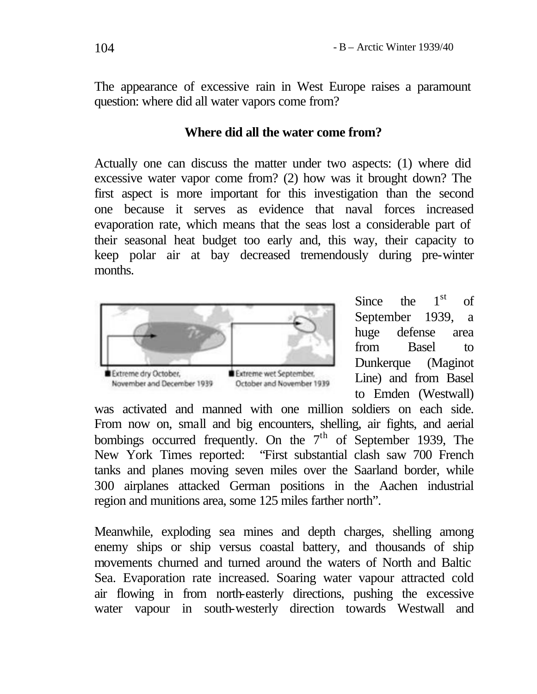The appearance of excessive rain in West Europe raises a paramount question: where did all water vapors come from?

## **Where did all the water come from?**

Actually one can discuss the matter under two aspects: (1) where did excessive water vapor come from? (2) how was it brought down? The first aspect is more important for this investigation than the second one because it serves as evidence that naval forces increased evaporation rate, which means that the seas lost a considerable part of their seasonal heat budget too early and, this way, their capacity to keep polar air at bay decreased tremendously during pre-winter months.



Since the  $1<sup>st</sup>$ of September 1939, a huge defense area from Basel to Dunkerque (Maginot Line) and from Basel to Emden (Westwall)

was activated and manned with one million soldiers on each side. From now on, small and big encounters, shelling, air fights, and aerial bombings occurred frequently. On the  $7<sup>th</sup>$  of September 1939, The New York Times reported: "First substantial clash saw 700 French tanks and planes moving seven miles over the Saarland border, while 300 airplanes attacked German positions in the Aachen industrial region and munitions area, some 125 miles farther north".

Meanwhile, exploding sea mines and depth charges, shelling among enemy ships or ship versus coastal battery, and thousands of ship movements churned and turned around the waters of North and Baltic Sea. Evaporation rate increased. Soaring water vapour attracted cold air flowing in from north-easterly directions, pushing the excessive water vapour in south-westerly direction towards Westwall and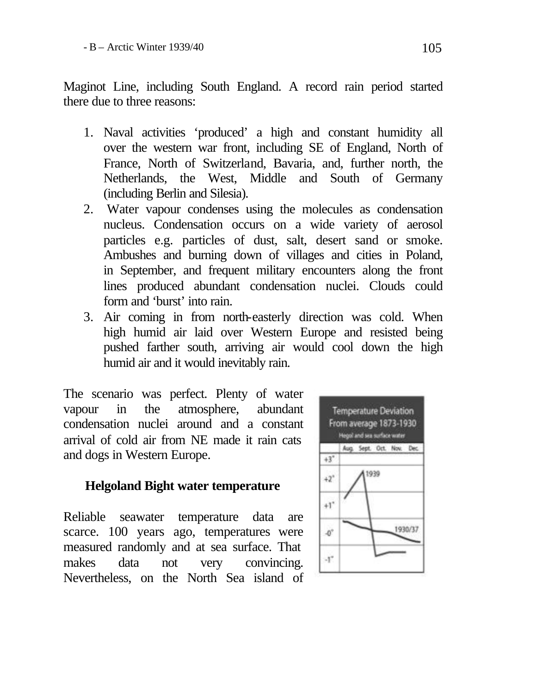Maginot Line, including South England. A record rain period started there due to three reasons:

- 1. Naval activities 'produced' a high and constant humidity all over the western war front, including SE of England, North of France, North of Switzerland, Bavaria, and, further north, the Netherlands, the West, Middle and South of Germany (including Berlin and Silesia).
- 2. Water vapour condenses using the molecules as condensation nucleus. Condensation occurs on a wide variety of aerosol particles e.g. particles of dust, salt, desert sand or smoke. Ambushes and burning down of villages and cities in Poland, in September, and frequent military encounters along the front lines produced abundant condensation nuclei. Clouds could form and 'burst' into rain.
- 3. Air coming in from north-easterly direction was cold. When high humid air laid over Western Europe and resisted being pushed farther south, arriving air would cool down the high humid air and it would inevitably rain.

The scenario was perfect. Plenty of water vapour in the atmosphere, abundant condensation nuclei around and a constant arrival of cold air from NE made it rain cats and dogs in Western Europe.

# **Helgoland Bight water temperature**

Reliable seawater temperature data are scarce. 100 years ago, temperatures were measured randomly and at sea surface. That makes data not very convincing. Nevertheless, on the North Sea island of

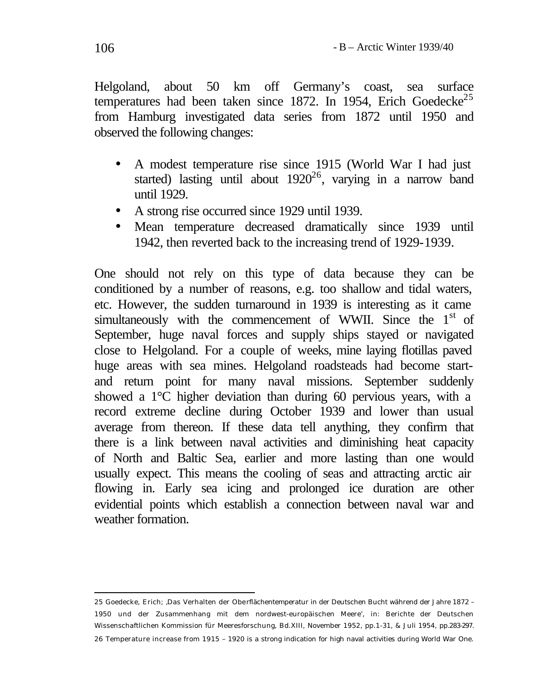Helgoland, about 50 km off Germany's coast, sea surface temperatures had been taken since 1872. In 1954, Erich Goedecke<sup>25</sup> from Hamburg investigated data series from 1872 until 1950 and observed the following changes:

- A modest temperature rise since 1915 (World War I had just started) lasting until about  $1920^{26}$ , varying in a narrow band until 1929.
- A strong rise occurred since 1929 until 1939.
- Mean temperature decreased dramatically since 1939 until 1942, then reverted back to the increasing trend of 1929-1939.

One should not rely on this type of data because they can be conditioned by a number of reasons, e.g. too shallow and tidal waters, etc. However, the sudden turnaround in 1939 is interesting as it came simultaneously with the commencement of WWII. Since the 1<sup>st</sup> of September, huge naval forces and supply ships stayed or navigated close to Helgoland. For a couple of weeks, mine laying flotillas paved huge areas with sea mines. Helgoland roadsteads had become startand return point for many naval missions. September suddenly showed a 1°C higher deviation than during 60 pervious years, with a record extreme decline during October 1939 and lower than usual average from thereon. If these data tell anything, they confirm that there is a link between naval activities and diminishing heat capacity of North and Baltic Sea, earlier and more lasting than one would usually expect. This means the cooling of seas and attracting arctic air flowing in. Early sea icing and prolonged ice duration are other evidential points which establish a connection between naval war and weather formation.

l 25 Goedecke, Erich; 'Das Verhalten der Obe rflächentemperatur in der Deutschen Bucht während der Jahre 1872 – 1950 und der Zusammenhang mit dem nordwest-europäischen Meere', in: Berichte der Deutschen Wissenschaftlichen Kommission für Meeresforschung, Bd.XIII, November 1952, pp.1-31, & Juli 1954, pp.283-297. 26 Temperature increase from 1915 – 1920 is a strong indication for high naval activities during World War One.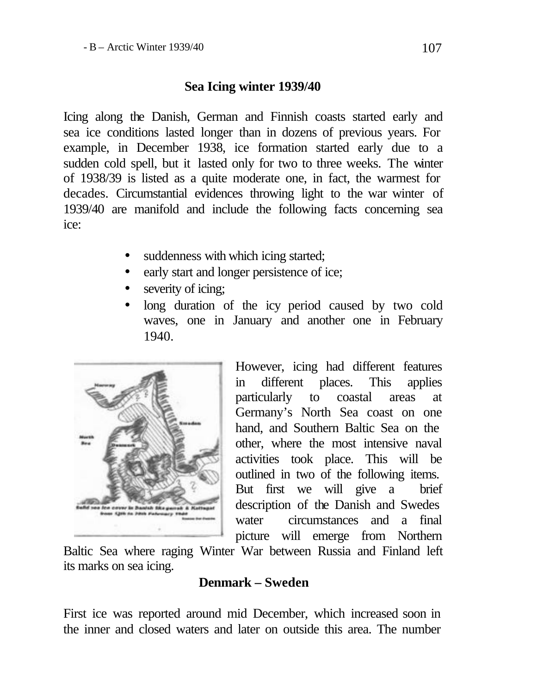## **Sea Icing winter 1939/40**

Icing along the Danish, German and Finnish coasts started early and sea ice conditions lasted longer than in dozens of previous years. For example, in December 1938, ice formation started early due to a sudden cold spell, but it lasted only for two to three weeks. The winter of 1938/39 is listed as a quite moderate one, in fact, the warmest for decades. Circumstantial evidences throwing light to the war winter of 1939/40 are manifold and include the following facts concerning sea ice:

- suddenness with which icing started;
- early start and longer persistence of ice;
- severity of icing;
- long duration of the icy period caused by two cold waves, one in January and another one in February 1940.



However, icing had different features in different places. This applies particularly to coastal areas at Germany's North Sea coast on one hand, and Southern Baltic Sea on the other, where the most intensive naval activities took place. This will be outlined in two of the following items. But first we will give a brief description of the Danish and Swedes water circumstances and a final picture will emerge from Northern

Baltic Sea where raging Winter War between Russia and Finland left its marks on sea icing.

## **Denmark – Sweden**

First ice was reported around mid December, which increased soon in the inner and closed waters and later on outside this area. The number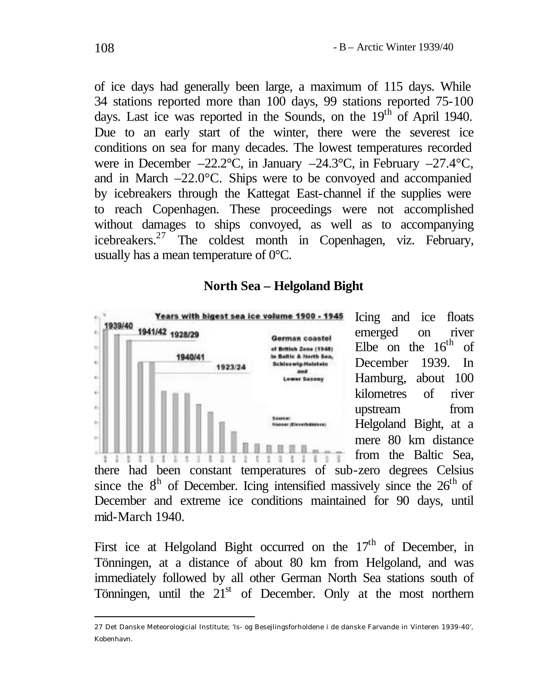of ice days had generally been large, a maximum of 115 days. While 34 stations reported more than 100 days, 99 stations reported 75-100 days. Last ice was reported in the Sounds, on the  $19<sup>th</sup>$  of April 1940. Due to an early start of the winter, there were the severest ice conditions on sea for many decades. The lowest temperatures recorded were in December –22.2°C, in January –24.3°C, in February –27.4°C, and in March –22.0°C. Ships were to be convoyed and accompanied by icebreakers through the Kattegat East-channel if the supplies were to reach Copenhagen. These proceedings were not accomplished without damages to ships convoyed, as well as to accompanying icebreakers.<sup>27</sup> The coldest month in Copenhagen, viz. February, usually has a mean temperature of 0°C.

# **North Sea – Helgoland Bight**



Icing and ice floats emerged on river Elbe on the  $16<sup>th</sup>$  of December 1939. In Hamburg, about 100 kilometres of river upstream from Helgoland Bight, at a mere 80 km distance from the Baltic Sea,

there had been constant temperatures of sub-zero degrees Celsius since the  $8<sup>h</sup>$  of December. Icing intensified massively since the  $26<sup>th</sup>$  of December and extreme ice conditions maintained for 90 days, until mid-March 1940.

First ice at Helgoland Bight occurred on the  $17<sup>th</sup>$  of December, in Tönningen, at a distance of about 80 km from Helgoland, and was immediately followed by all other German North Sea stations south of Tönningen, until the 21<sup>st</sup> of December. Only at the most northern

<sup>27</sup> Det Danske Meteorologicial Institute; 'Is- og Besejlingsforholdene i de danske Farvande in Vinteren 1939-40', Kobenhavn.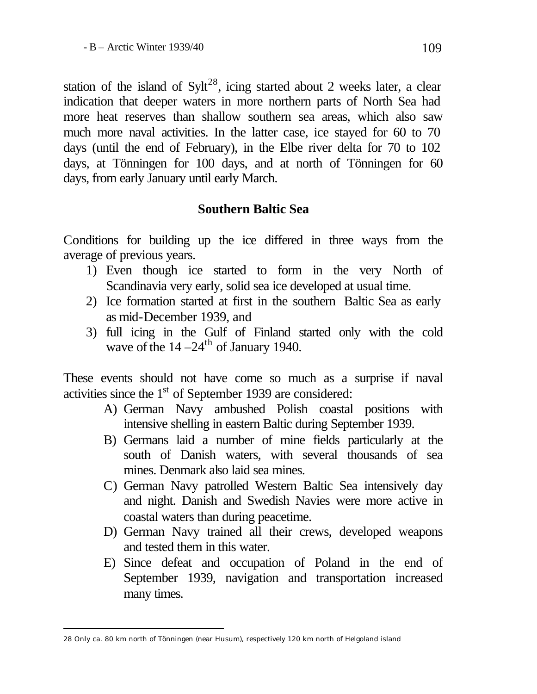station of the island of  $Sylt^{28}$ , icing started about 2 weeks later, a clear indication that deeper waters in more northern parts of North Sea had more heat reserves than shallow southern sea areas, which also saw much more naval activities. In the latter case, ice stayed for 60 to 70 days (until the end of February), in the Elbe river delta for 70 to 102 days, at Tönningen for 100 days, and at north of Tönningen for 60 days, from early January until early March.

# **Southern Baltic Sea**

Conditions for building up the ice differed in three ways from the average of previous years.

- 1) Even though ice started to form in the very North of Scandinavia very early, solid sea ice developed at usual time.
- 2) Ice formation started at first in the southern Baltic Sea as early as mid-December 1939, and
- 3) full icing in the Gulf of Finland started only with the cold wave of the  $14 - 24$ <sup>th</sup> of January 1940.

These events should not have come so much as a surprise if naval activities since the 1<sup>st</sup> of September 1939 are considered:

- A) German Navy ambushed Polish coastal positions with intensive shelling in eastern Baltic during September 1939.
- B) Germans laid a number of mine fields particularly at the south of Danish waters, with several thousands of sea mines. Denmark also laid sea mines.
- C) German Navy patrolled Western Baltic Sea intensively day and night. Danish and Swedish Navies were more active in coastal waters than during peacetime.
- D) German Navy trained all their crews, developed weapons and tested them in this water.
- E) Since defeat and occupation of Poland in the end of September 1939, navigation and transportation increased many times.

<sup>28</sup> Only ca. 80 km north of Tönningen (near Husum), respectively 120 km north of Helgoland island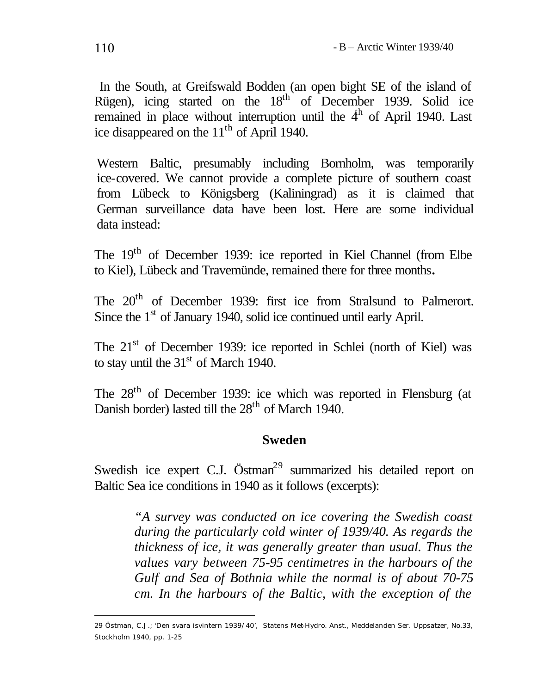In the South, at Greifswald Bodden (an open bight SE of the island of Rügen), icing started on the 18<sup>th</sup> of December 1939. Solid ice remained in place without interruption until the  $4<sup>h</sup>$  of April 1940. Last ice disappeared on the  $11<sup>th</sup>$  of April 1940.

Western Baltic, presumably including Bornholm, was temporarily ice-covered. We cannot provide a complete picture of southern coast from Lübeck to Königsberg (Kaliningrad) as it is claimed that German surveillance data have been lost. Here are some individual data instead:

The 19th of December 1939: ice reported in Kiel Channel (from Elbe to Kiel), Lübeck and Travemünde, remained there for three months**.**

The 20<sup>th</sup> of December 1939: first ice from Stralsund to Palmerort. Since the 1<sup>st</sup> of January 1940, solid ice continued until early April.

The 21<sup>st</sup> of December 1939: ice reported in Schlei (north of Kiel) was to stay until the  $31<sup>st</sup>$  of March 1940.

The 28th of December 1939: ice which was reported in Flensburg (at Danish border) lasted till the  $28<sup>th</sup>$  of March 1940.

## **Sweden**

Swedish ice expert C.J. Östman<sup>29</sup> summarized his detailed report on Baltic Sea ice conditions in 1940 as it follows (excerpts):

> *"A survey was conducted on ice covering the Swedish coast during the particularly cold winter of 1939/40. As regards the thickness of ice, it was generally greater than usual. Thus the values vary between 75-95 centimetres in the harbours of the Gulf and Sea of Bothnia while the normal is of about 70-75 cm. In the harbours of the Baltic, with the exception of the*

<sup>29</sup> Östman, C.J.; 'Den svara isvintern 1939/40', Statens Met-Hydro. Anst., Meddelanden Ser. Uppsatzer, No.33, Stockholm 1940, pp. 1-25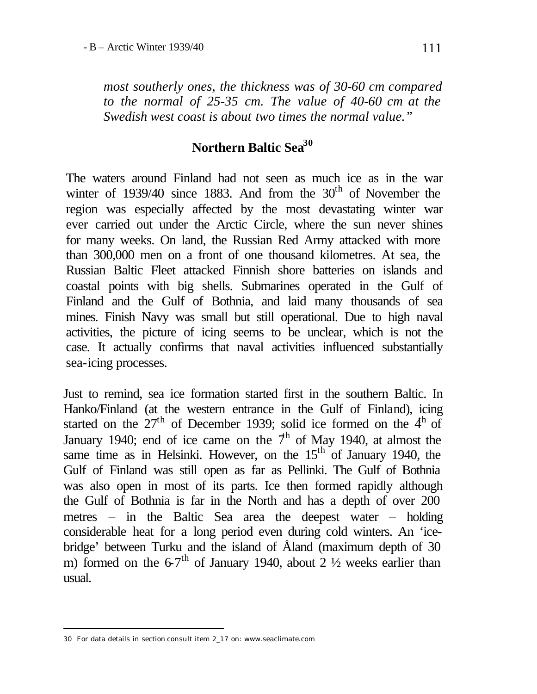*most southerly ones, the thickness was of 30-60 cm compared to the normal of 25-35 cm. The value of 40-60 cm at the Swedish west coast is about two times the normal value."* 

# **Northern Baltic Sea<sup>30</sup>**

The waters around Finland had not seen as much ice as in the war winter of 1939/40 since 1883. And from the  $30<sup>th</sup>$  of November the region was especially affected by the most devastating winter war ever carried out under the Arctic Circle, where the sun never shines for many weeks. On land, the Russian Red Army attacked with more than 300,000 men on a front of one thousand kilometres. At sea, the Russian Baltic Fleet attacked Finnish shore batteries on islands and coastal points with big shells. Submarines operated in the Gulf of Finland and the Gulf of Bothnia, and laid many thousands of sea mines. Finish Navy was small but still operational. Due to high naval activities, the picture of icing seems to be unclear, which is not the case. It actually confirms that naval activities influenced substantially sea-icing processes.

Just to remind, sea ice formation started first in the southern Baltic. In Hanko/Finland (at the western entrance in the Gulf of Finland), icing started on the  $27<sup>th</sup>$  of December 1939; solid ice formed on the  $4<sup>th</sup>$  of January 1940; end of ice came on the  $7<sup>h</sup>$  of May 1940, at almost the same time as in Helsinki. However, on the  $15<sup>th</sup>$  of January 1940, the Gulf of Finland was still open as far as Pellinki. The Gulf of Bothnia was also open in most of its parts. Ice then formed rapidly although the Gulf of Bothnia is far in the North and has a depth of over 200 metres – in the Baltic Sea area the deepest water – holding considerable heat for a long period even during cold winters. An 'icebridge' between Turku and the island of Åland (maximum depth of 30 m) formed on the  $6.7<sup>th</sup>$  of January 1940, about 2  $\frac{1}{2}$  weeks earlier than usual.

<sup>30</sup> For data details in section consult item 2\_17 on: www.seaclimate.com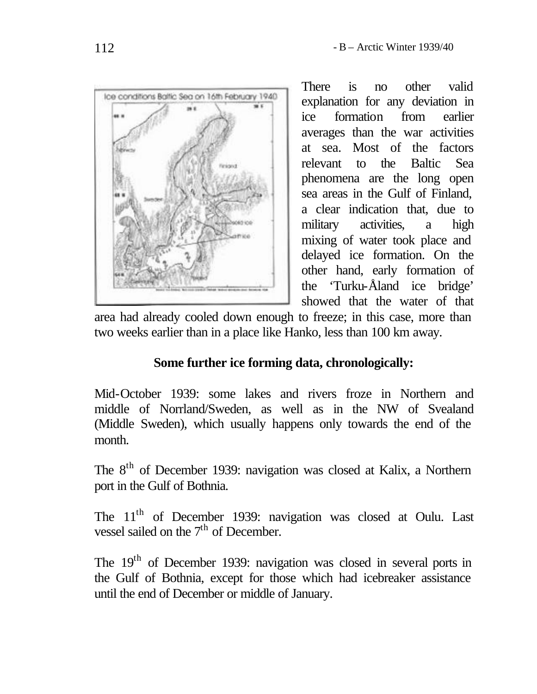

There is no other valid explanation for any deviation in ice formation from earlier averages than the war activities at sea. Most of the factors relevant to the Baltic Sea phenomena are the long open sea areas in the Gulf of Finland, a clear indication that, due to military activities, a high mixing of water took place and delayed ice formation. On the other hand, early formation of the 'Turku-Åland ice bridge' showed that the water of that

area had already cooled down enough to freeze; in this case, more than two weeks earlier than in a place like Hanko, less than 100 km away.

# **Some further ice forming data, chronologically:**

Mid-October 1939: some lakes and rivers froze in Northern and middle of Norrland/Sweden, as well as in the NW of Svealand (Middle Sweden), which usually happens only towards the end of the month.

The 8<sup>th</sup> of December 1939: navigation was closed at Kalix, a Northern port in the Gulf of Bothnia.

The 11<sup>th</sup> of December 1939: navigation was closed at Oulu. Last vessel sailed on the  $7<sup>th</sup>$  of December.

The 19<sup>th</sup> of December 1939: navigation was closed in several ports in the Gulf of Bothnia, except for those which had icebreaker assistance until the end of December or middle of January.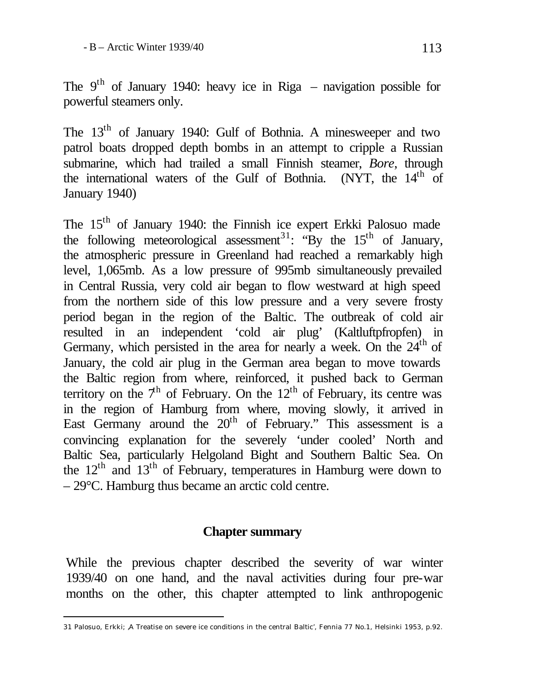The  $9<sup>th</sup>$  of January 1940: heavy ice in Riga – navigation possible for powerful steamers only.

The 13<sup>th</sup> of January 1940: Gulf of Bothnia. A minesweeper and two patrol boats dropped depth bombs in an attempt to cripple a Russian submarine, which had trailed a small Finnish steamer, *Bore*, through the international waters of the Gulf of Bothnia. (NYT, the 14<sup>th</sup> of January 1940)

The 15th of January 1940: the Finnish ice expert Erkki Palosuo made the following meteorological assessment<sup>31</sup>: "By the  $15<sup>th</sup>$  of January, the atmospheric pressure in Greenland had reached a remarkably high level, 1,065mb. As a low pressure of 995mb simultaneously prevailed in Central Russia, very cold air began to flow westward at high speed from the northern side of this low pressure and a very severe frosty period began in the region of the Baltic. The outbreak of cold air resulted in an independent 'cold air plug' (Kaltluftpfropfen) in Germany, which persisted in the area for nearly a week. On the  $24<sup>th</sup>$  of January, the cold air plug in the German area began to move towards the Baltic region from where, reinforced, it pushed back to German territory on the  $7<sup>h</sup>$  of February. On the  $12<sup>th</sup>$  of February, its centre was in the region of Hamburg from where, moving slowly, it arrived in East Germany around the  $20<sup>th</sup>$  of February." This assessment is a convincing explanation for the severely 'under cooled' North and Baltic Sea, particularly Helgoland Bight and Southern Baltic Sea. On the  $12<sup>th</sup>$  and  $13<sup>th</sup>$  of February, temperatures in Hamburg were down to – 29°C. Hamburg thus became an arctic cold centre.

#### **Chapter summary**

While the previous chapter described the severity of war winter 1939/40 on one hand, and the naval activities during four pre-war months on the other, this chapter attempted to link anthropogenic

<sup>31</sup> Palosuo, Erkki; 'A Treatise on severe ice conditions in the central Baltic', Fennia 77 No.1, Helsinki 1953, p.92.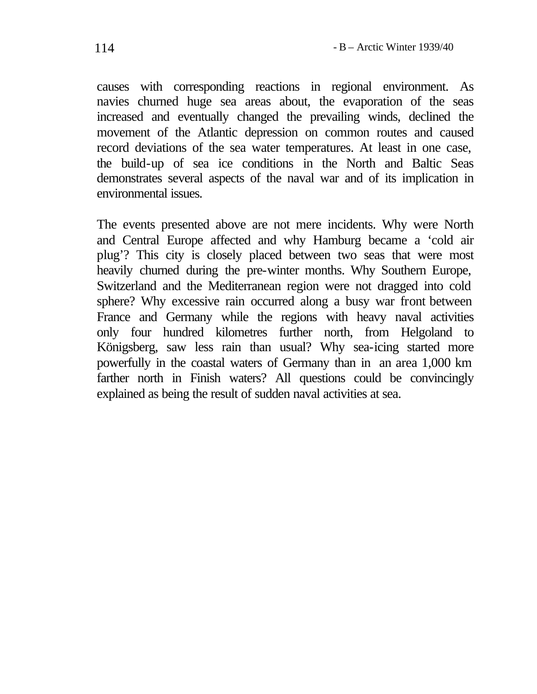causes with corresponding reactions in regional environment. As navies churned huge sea areas about, the evaporation of the seas increased and eventually changed the prevailing winds, declined the movement of the Atlantic depression on common routes and caused record deviations of the sea water temperatures. At least in one case, the build-up of sea ice conditions in the North and Baltic Seas demonstrates several aspects of the naval war and of its implication in environmental issues.

The events presented above are not mere incidents. Why were North and Central Europe affected and why Hamburg became a 'cold air plug'? This city is closely placed between two seas that were most heavily churned during the pre-winter months. Why Southern Europe, Switzerland and the Mediterranean region were not dragged into cold sphere? Why excessive rain occurred along a busy war front between France and Germany while the regions with heavy naval activities only four hundred kilometres further north, from Helgoland to Königsberg, saw less rain than usual? Why sea-icing started more powerfully in the coastal waters of Germany than in an area 1,000 km farther north in Finish waters? All questions could be convincingly explained as being the result of sudden naval activities at sea.